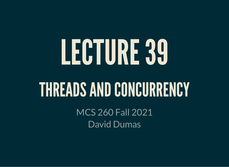# LECTURE39

### THREADS AND CONCURRENCY

MCS 260 Fall 2021 David Dumas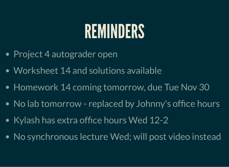### REMINDERS

- Project 4 autograder open
- Worksheet 14 and solutions available
- Homework 14 coming tomorrow, due Tue Nov 30
- No lab tomorrow replaced by Johnny's office hours
- Kylash has extra office hours Wed 12-2
- No synchronous lecture Wed; will post video instead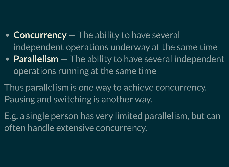#### **Concurrency** — The ability to have several independent operations underway at the same time

- **Parallelism** The ability to have several independent operations running at the same time
- Thus parallelism is one way to achieve concurrency. Pausing and switching is another way.
- E.g. a single person has very limited parallelism, but can often handle extensive concurrency.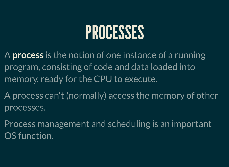### PROCESSES

A **process** is the notion of one instance of a running program, consisting of code and data loaded into memory, ready for the CPU to execute.

A process can't (normally) access the memory of other processes.

Process management and scheduling is an important OS function.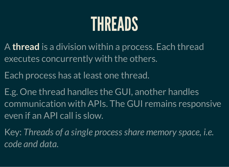### THREADS

- A **thread** is a division within a process. Each thread executes concurrently with the others.
- Each process has at least one thread.
- E.g. One thread handles the GUI, another handles communication with APIs. The GUI remains responsive even if an API call is slow.
- Key: *Threads of a single process share memory space, i.e. code and data.*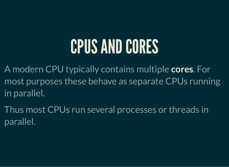### CPUS AND CORES

A modern CPU typically contains multiple **cores**. For most purposes these behave as separate CPUs running in parallel.

Thus most CPUs run several processes or threads in parallel.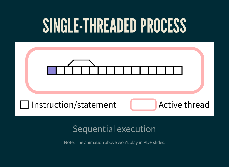### SINGLE-THREADED PROCESS



#### Sequential execution

Note: The animation above won't play in PDF slides.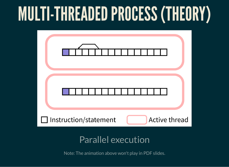# MULTI-THREADEDPROCESS(THEORY)

| <b>Active thread</b><br>Instruction/statement<br>$\Box$ |  |
|---------------------------------------------------------|--|
|                                                         |  |

#### Parallel execution

Note: The animation above won't play in PDF slides.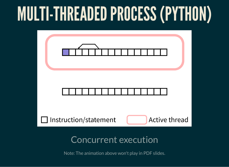# MULTI-THREADEDPROCESS(PYTHON)



Note: The animation above won't play in PDF slides.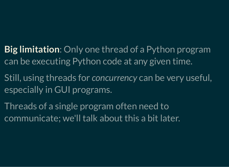#### **Big limitation**: Only one thread of a Python program can be executing Python code at any given time.

- Still, using threads for *concurrency* can be very useful, especially in GUI programs.
- Threads of a single program often need to communicate; we'll talk about this a bit later.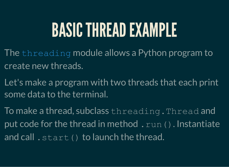### BASICTHREADEXAMPLE

- The [threading](https://docs.python.org/3/library/threading.html) module allows a Python program to create new threads.
- Let's make a program with two threads that each print some data to the terminal.
- To make a thread, subclass threading.Thread and put code for the thread in method.  $run()$ . Instantiate and call . start() to launch the thread.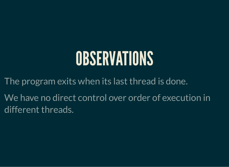### OBSERVATIONS

The program exits when its last thread is done. We have no direct control over order of execution in

different threads.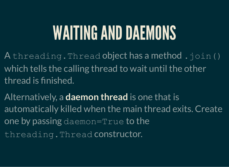### WAITING AND DAEMONS

A threading. Thread object has a method. join () which tells the calling thread to wait until the other thread is finished.

Alternatively, a **daemon thread** is one that is automatically killed when the main thread exits. Create one by passing daemon= $True$  to the threading.Thread constructor.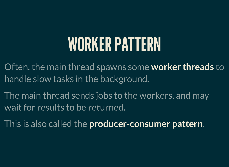### WORKER PATTERN

Often, the main thread spawns some **worker threads** to handle slow tasks in the background.

The main thread sends jobs to the workers, and may wait for results to be returned.

This is also called the **producer-consumer pattern**.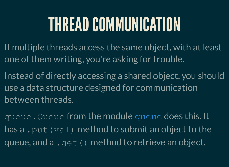### THREAD COMMUNICATION

- If multiple threads access the same object, with at least one of them writing, you're asking for trouble.
- Instead of directly accessing a shared object, you should use a data structure designed for communication between threads.
- [queue](https://docs.python.org/3/library/queue.html). Queue from the module queue does this. It has a . put (val) method to submit an object to the queue, and a . get () method to retrieve an object.